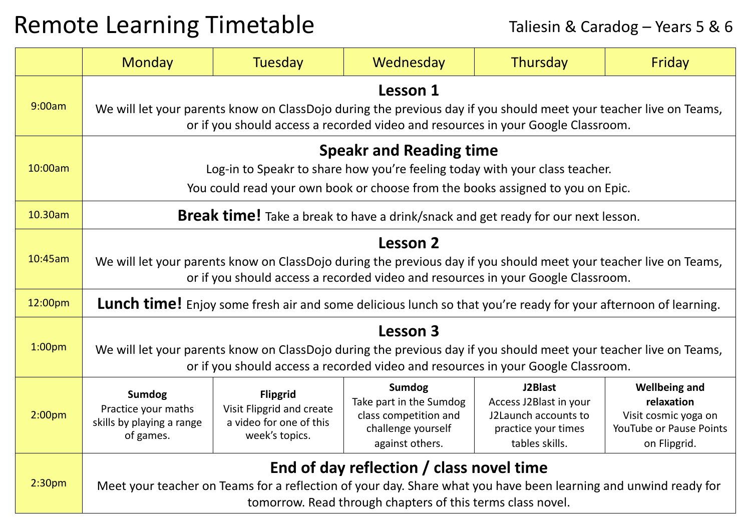## Remote Learning Timetable Taliesin & Caradog – Years 5 & 6

|                    | <b>Monday</b>                                                                                                                                                                                                             | <b>Tuesday</b>                                                                            | Wednesday                                                                                                  | Thursday                                                                                           | Friday                                                                                                |  |  |
|--------------------|---------------------------------------------------------------------------------------------------------------------------------------------------------------------------------------------------------------------------|-------------------------------------------------------------------------------------------|------------------------------------------------------------------------------------------------------------|----------------------------------------------------------------------------------------------------|-------------------------------------------------------------------------------------------------------|--|--|
| 9:00am             | Lesson 1<br>We will let your parents know on ClassDojo during the previous day if you should meet your teacher live on Teams,<br>or if you should access a recorded video and resources in your Google Classroom.         |                                                                                           |                                                                                                            |                                                                                                    |                                                                                                       |  |  |
| 10:00am            | <b>Speakr and Reading time</b><br>Log-in to Speakr to share how you're feeling today with your class teacher.<br>You could read your own book or choose from the books assigned to you on Epic.                           |                                                                                           |                                                                                                            |                                                                                                    |                                                                                                       |  |  |
| 10.30am            | <b>Break time!</b> Take a break to have a drink/snack and get ready for our next lesson.                                                                                                                                  |                                                                                           |                                                                                                            |                                                                                                    |                                                                                                       |  |  |
| 10:45am            | <b>Lesson 2</b><br>We will let your parents know on ClassDojo during the previous day if you should meet your teacher live on Teams,<br>or if you should access a recorded video and resources in your Google Classroom.  |                                                                                           |                                                                                                            |                                                                                                    |                                                                                                       |  |  |
| 12:00pm            | <b>Lunch time!</b> Enjoy some fresh air and some delicious lunch so that you're ready for your afternoon of learning.                                                                                                     |                                                                                           |                                                                                                            |                                                                                                    |                                                                                                       |  |  |
| 1:00 <sub>pm</sub> | Lesson 3<br>We will let your parents know on ClassDojo during the previous day if you should meet your teacher live on Teams,<br>or if you should access a recorded video and resources in your Google Classroom.         |                                                                                           |                                                                                                            |                                                                                                    |                                                                                                       |  |  |
| 2:00 <sub>pm</sub> | <b>Sumdog</b><br>Practice your maths<br>skills by playing a range<br>of games.                                                                                                                                            | <b>Flipgrid</b><br>Visit Flipgrid and create<br>a video for one of this<br>week's topics. | <b>Sumdog</b><br>Take part in the Sumdog<br>class competition and<br>challenge yourself<br>against others. | J2Blast<br>Access J2Blast in your<br>J2Launch accounts to<br>practice your times<br>tables skills. | <b>Wellbeing and</b><br>relaxation<br>Visit cosmic yoga on<br>YouTube or Pause Points<br>on Flipgrid. |  |  |
| 2:30 <sub>pm</sub> | End of day reflection / class novel time<br>Meet your teacher on Teams for a reflection of your day. Share what you have been learning and unwind ready for<br>tomorrow. Read through chapters of this terms class novel. |                                                                                           |                                                                                                            |                                                                                                    |                                                                                                       |  |  |